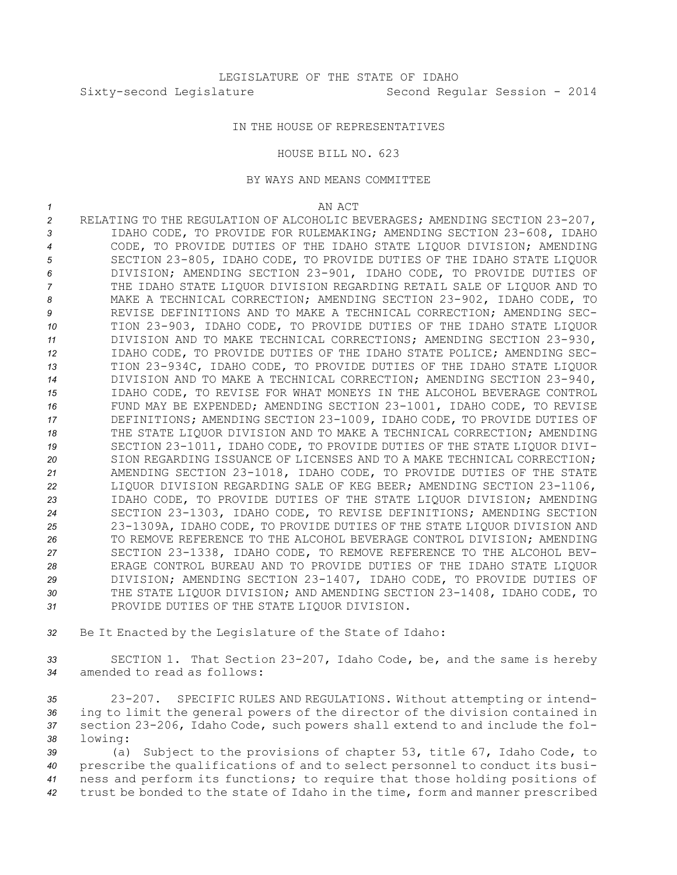## IN THE HOUSE OF REPRESENTATIVES

## HOUSE BILL NO. 623

## BY WAYS AND MEANS COMMITTEE

*1* AN ACT

 RELATING TO THE REGULATION OF ALCOHOLIC BEVERAGES; AMENDING SECTION 23-207, IDAHO CODE, TO PROVIDE FOR RULEMAKING; AMENDING SECTION 23-608, IDAHO CODE, TO PROVIDE DUTIES OF THE IDAHO STATE LIQUOR DIVISION; AMENDING SECTION 23-805, IDAHO CODE, TO PROVIDE DUTIES OF THE IDAHO STATE LIQUOR DIVISION; AMENDING SECTION 23-901, IDAHO CODE, TO PROVIDE DUTIES OF THE IDAHO STATE LIQUOR DIVISION REGARDING RETAIL SALE OF LIQUOR AND TO MAKE A TECHNICAL CORRECTION; AMENDING SECTION 23-902, IDAHO CODE, TO REVISE DEFINITIONS AND TO MAKE A TECHNICAL CORRECTION; AMENDING SEC- TION 23-903, IDAHO CODE, TO PROVIDE DUTIES OF THE IDAHO STATE LIQUOR DIVISION AND TO MAKE TECHNICAL CORRECTIONS; AMENDING SECTION 23-930, IDAHO CODE, TO PROVIDE DUTIES OF THE IDAHO STATE POLICE; AMENDING SEC- TION 23-934C, IDAHO CODE, TO PROVIDE DUTIES OF THE IDAHO STATE LIQUOR DIVISION AND TO MAKE A TECHNICAL CORRECTION; AMENDING SECTION 23-940, IDAHO CODE, TO REVISE FOR WHAT MONEYS IN THE ALCOHOL BEVERAGE CONTROL FUND MAY BE EXPENDED; AMENDING SECTION 23-1001, IDAHO CODE, TO REVISE DEFINITIONS; AMENDING SECTION 23-1009, IDAHO CODE, TO PROVIDE DUTIES OF THE STATE LIQUOR DIVISION AND TO MAKE A TECHNICAL CORRECTION; AMENDING SECTION 23-1011, IDAHO CODE, TO PROVIDE DUTIES OF THE STATE LIQUOR DIVI- SION REGARDING ISSUANCE OF LICENSES AND TO A MAKE TECHNICAL CORRECTION; AMENDING SECTION 23-1018, IDAHO CODE, TO PROVIDE DUTIES OF THE STATE LIQUOR DIVISION REGARDING SALE OF KEG BEER; AMENDING SECTION 23-1106, IDAHO CODE, TO PROVIDE DUTIES OF THE STATE LIQUOR DIVISION; AMENDING SECTION 23-1303, IDAHO CODE, TO REVISE DEFINITIONS; AMENDING SECTION 23-1309A, IDAHO CODE, TO PROVIDE DUTIES OF THE STATE LIQUOR DIVISION AND TO REMOVE REFERENCE TO THE ALCOHOL BEVERAGE CONTROL DIVISION; AMENDING SECTION 23-1338, IDAHO CODE, TO REMOVE REFERENCE TO THE ALCOHOL BEV- ERAGE CONTROL BUREAU AND TO PROVIDE DUTIES OF THE IDAHO STATE LIQUOR DIVISION; AMENDING SECTION 23-1407, IDAHO CODE, TO PROVIDE DUTIES OF THE STATE LIQUOR DIVISION; AND AMENDING SECTION 23-1408, IDAHO CODE, TO PROVIDE DUTIES OF THE STATE LIQUOR DIVISION.

*<sup>32</sup>* Be It Enacted by the Legislature of the State of Idaho:

*<sup>33</sup>* SECTION 1. That Section 23-207, Idaho Code, be, and the same is hereby *34* amended to read as follows:

 23-207. SPECIFIC RULES AND REGULATIONS. Without attempting or intend- ing to limit the general powers of the director of the division contained in section 23-206, Idaho Code, such powers shall extend to and include the fol-*<sup>38</sup>* lowing:

 (a) Subject to the provisions of chapter 53, title 67, Idaho Code, to prescribe the qualifications of and to select personnel to conduct its busi- ness and perform its functions; to require that those holding positions of trust be bonded to the state of Idaho in the time, form and manner prescribed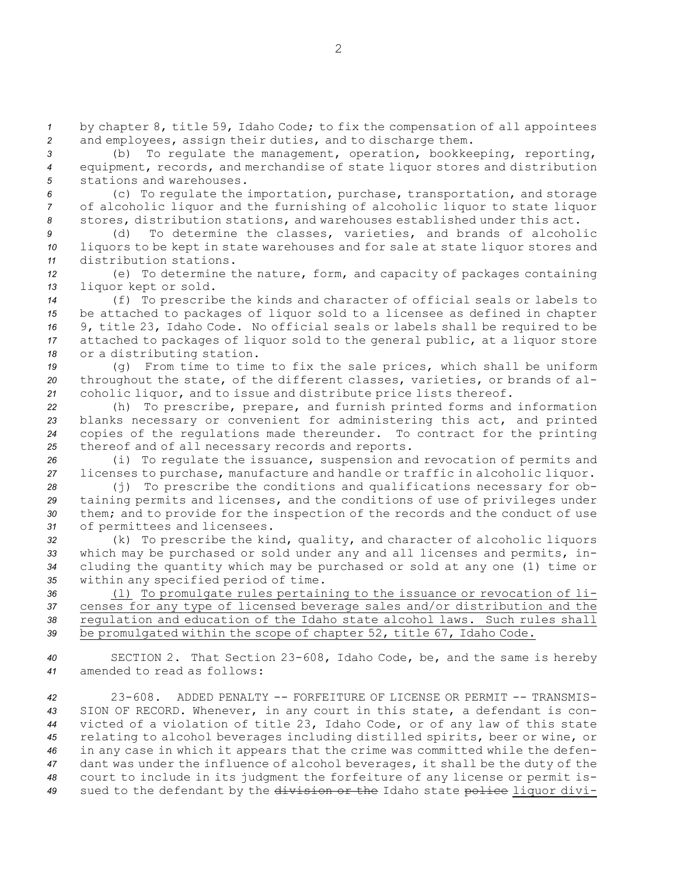*<sup>1</sup>* by chapter 8, title 59, Idaho Code; to fix the compensation of all appointees *<sup>2</sup>* and employees, assign their duties, and to discharge them.

*<sup>3</sup>* (b) To regulate the management, operation, bookkeeping, reporting, *<sup>4</sup>* equipment, records, and merchandise of state liquor stores and distribution *5* stations and warehouses.

*<sup>6</sup>* (c) To regulate the importation, purchase, transportation, and storage *<sup>7</sup>* of alcoholic liquor and the furnishing of alcoholic liquor to state liquor *<sup>8</sup>* stores, distribution stations, and warehouses established under this act.

*<sup>9</sup>* (d) To determine the classes, varieties, and brands of alcoholic *<sup>10</sup>* liquors to be kept in state warehouses and for sale at state liquor stores and *11* distribution stations.

*<sup>12</sup>* (e) To determine the nature, form, and capacity of packages containing *<sup>13</sup>* liquor kept or sold.

 (f) To prescribe the kinds and character of official seals or labels to be attached to packages of liquor sold to <sup>a</sup> licensee as defined in chapter 9, title 23, Idaho Code. No official seals or labels shall be required to be attached to packages of liquor sold to the general public, at <sup>a</sup> liquor store or <sup>a</sup> distributing station.

*<sup>19</sup>* (g) From time to time to fix the sale prices, which shall be uniform *<sup>20</sup>* throughout the state, of the different classes, varieties, or brands of al-*<sup>21</sup>* coholic liquor, and to issue and distribute price lists thereof.

 (h) To prescribe, prepare, and furnish printed forms and information blanks necessary or convenient for administering this act, and printed copies of the regulations made thereunder. To contract for the printing thereof and of all necessary records and reports.

*<sup>26</sup>* (i) To regulate the issuance, suspension and revocation of permits and *<sup>27</sup>* licenses to purchase, manufacture and handle or traffic in alcoholic liquor.

 (j) To prescribe the conditions and qualifications necessary for ob- taining permits and licenses, and the conditions of use of privileges under them; and to provide for the inspection of the records and the conduct of use of permittees and licensees.

 (k) To prescribe the kind, quality, and character of alcoholic liquors which may be purchased or sold under any and all licenses and permits, in- cluding the quantity which may be purchased or sold at any one (1) time or within any specified period of time.

 (l) To promulgate rules pertaining to the issuance or revocation of li- censes for any type of licensed beverage sales and/or distribution and the regulation and education of the Idaho state alcohol laws. Such rules shall be promulgated within the scope of chapter 52, title 67, Idaho Code.

*<sup>40</sup>* SECTION 2. That Section 23-608, Idaho Code, be, and the same is hereby *41* amended to read as follows:

 23-608. ADDED PENALTY -- FORFEITURE OF LICENSE OR PERMIT -- TRANSMIS- SION OF RECORD. Whenever, in any court in this state, <sup>a</sup> defendant is con- victed of <sup>a</sup> violation of title 23, Idaho Code, or of any law of this state relating to alcohol beverages including distilled spirits, beer or wine, or in any case in which it appears that the crime was committed while the defen- dant was under the influence of alcohol beverages, it shall be the duty of the court to include in its judgment the forfeiture of any license or permit is-sued to the defendant by the division or the Idaho state police liquor divi-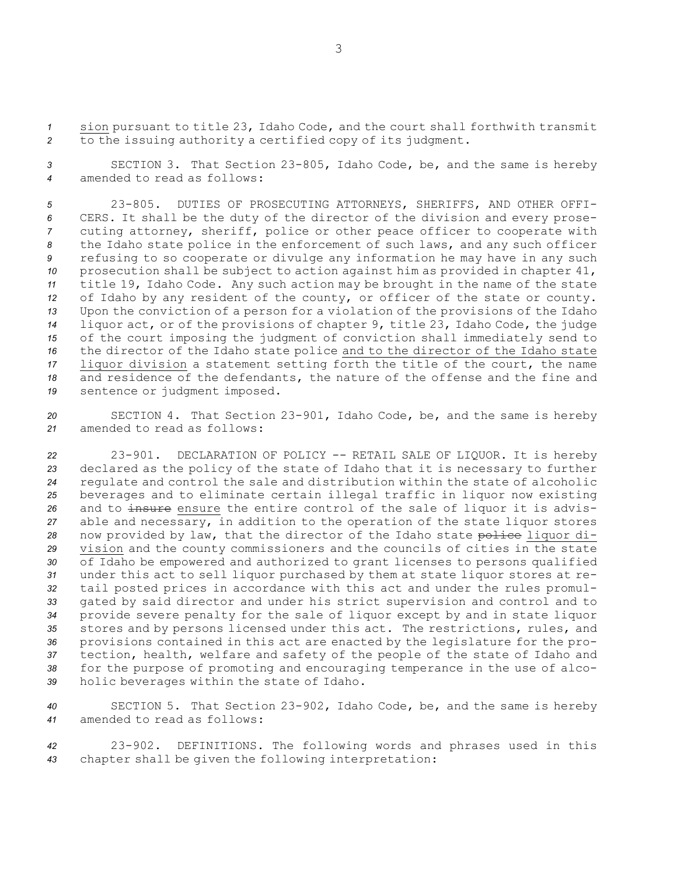*<sup>1</sup>* sion pursuant to title 23, Idaho Code, and the court shall forthwith transmit *<sup>2</sup>* to the issuing authority <sup>a</sup> certified copy of its judgment.

*<sup>3</sup>* SECTION 3. That Section 23-805, Idaho Code, be, and the same is hereby *4* amended to read as follows:

 23-805. DUTIES OF PROSECUTING ATTORNEYS, SHERIFFS, AND OTHER OFFI- CERS. It shall be the duty of the director of the division and every prose- cuting attorney, sheriff, police or other peace officer to cooperate with the Idaho state police in the enforcement of such laws, and any such officer refusing to so cooperate or divulge any information he may have in any such prosecution shall be subject to action against him as provided in chapter 41, title 19, Idaho Code. Any such action may be brought in the name of the state of Idaho by any resident of the county, or officer of the state or county. Upon the conviction of <sup>a</sup> person for <sup>a</sup> violation of the provisions of the Idaho liquor act, or of the provisions of chapter 9, title 23, Idaho Code, the judge of the court imposing the judgment of conviction shall immediately send to the director of the Idaho state police and to the director of the Idaho state liquor division <sup>a</sup> statement setting forth the title of the court, the name and residence of the defendants, the nature of the offense and the fine and sentence or judgment imposed.

*<sup>20</sup>* SECTION 4. That Section 23-901, Idaho Code, be, and the same is hereby *21* amended to read as follows:

 23-901. DECLARATION OF POLICY -- RETAIL SALE OF LIQUOR. It is hereby declared as the policy of the state of Idaho that it is necessary to further regulate and control the sale and distribution within the state of alcoholic beverages and to eliminate certain illegal traffic in liquor now existing 26 and to insure ensure the entire control of the sale of liquor it is advis- able and necessary, in addition to the operation of the state liquor stores 28 now provided by law, that the director of the Idaho state police liquor di- vision and the county commissioners and the councils of cities in the state of Idaho be empowered and authorized to grant licenses to persons qualified under this act to sell liquor purchased by them at state liquor stores at re- tail posted prices in accordance with this act and under the rules promul- gated by said director and under his strict supervision and control and to provide severe penalty for the sale of liquor except by and in state liquor stores and by persons licensed under this act. The restrictions, rules, and provisions contained in this act are enacted by the legislature for the pro- tection, health, welfare and safety of the people of the state of Idaho and for the purpose of promoting and encouraging temperance in the use of alco-holic beverages within the state of Idaho.

*<sup>40</sup>* SECTION 5. That Section 23-902, Idaho Code, be, and the same is hereby *41* amended to read as follows:

*<sup>42</sup>* 23-902. DEFINITIONS. The following words and phrases used in this *<sup>43</sup>* chapter shall be given the following interpretation: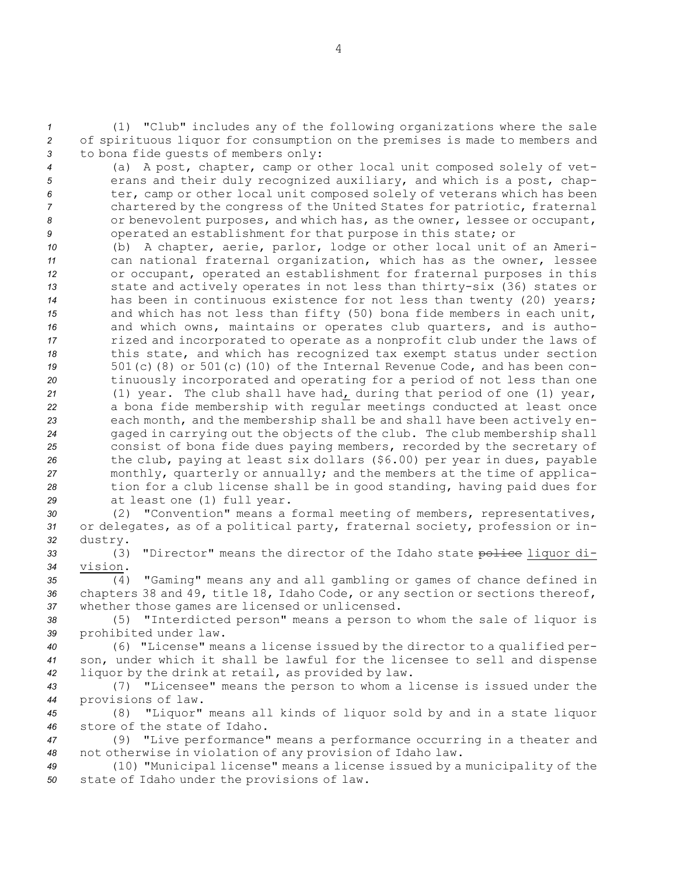*<sup>1</sup>* (1) "Club" includes any of the following organizations where the sale *<sup>2</sup>* of spirituous liquor for consumption on the premises is made to members and *<sup>3</sup>* to bona fide guests of members only:

 (a) <sup>A</sup> post, chapter, camp or other local unit composed solely of vet- erans and their duly recognized auxiliary, and which is <sup>a</sup> post, chap- ter, camp or other local unit composed solely of veterans which has been chartered by the congress of the United States for patriotic, fraternal or benevolent purposes, and which has, as the owner, lessee or occupant, operated an establishment for that purpose in this state; or

 (b) <sup>A</sup> chapter, aerie, parlor, lodge or other local unit of an Ameri- can national fraternal organization, which has as the owner, lessee or occupant, operated an establishment for fraternal purposes in this state and actively operates in not less than thirty-six (36) states or has been in continuous existence for not less than twenty (20) years; and which has not less than fifty (50) bona fide members in each unit, and which owns, maintains or operates club quarters, and is autho- rized and incorporated to operate as <sup>a</sup> nonprofit club under the laws of this state, and which has recognized tax exempt status under section 501(c)(8) or 501(c)(10) of the Internal Revenue Code, and has been con- tinuously incorporated and operating for <sup>a</sup> period of not less than one (1) year. The club shall have had, during that period of one (1) year, <sup>a</sup> bona fide membership with regular meetings conducted at least once each month, and the membership shall be and shall have been actively en- gaged in carrying out the objects of the club. The club membership shall consist of bona fide dues paying members, recorded by the secretary of the club, paying at least six dollars (\$6.00) per year in dues, payable monthly, quarterly or annually; and the members at the time of applica- tion for <sup>a</sup> club license shall be in good standing, having paid dues for at least one (1) full year.

*<sup>30</sup>* (2) "Convention" means <sup>a</sup> formal meeting of members, representatives, *<sup>31</sup>* or delegates, as of <sup>a</sup> political party, fraternal society, profession or in-*<sup>32</sup>* dustry.

33 (3) "Director" means the director of the Idaho state police liquor di-*34* vision.

*<sup>35</sup>* (4) "Gaming" means any and all gambling or games of chance defined in *<sup>36</sup>* chapters 38 and 49, title 18, Idaho Code, or any section or sections thereof, *<sup>37</sup>* whether those games are licensed or unlicensed.

*<sup>38</sup>* (5) "Interdicted person" means <sup>a</sup> person to whom the sale of liquor is *<sup>39</sup>* prohibited under law.

*<sup>40</sup>* (6) "License" means <sup>a</sup> license issued by the director to <sup>a</sup> qualified per-*<sup>41</sup>* son, under which it shall be lawful for the licensee to sell and dispense *<sup>42</sup>* liquor by the drink at retail, as provided by law.

*<sup>43</sup>* (7) "Licensee" means the person to whom <sup>a</sup> license is issued under the *<sup>44</sup>* provisions of law.

*<sup>45</sup>* (8) "Liquor" means all kinds of liquor sold by and in <sup>a</sup> state liquor *46* store of the state of Idaho.

*<sup>47</sup>* (9) "Live performance" means <sup>a</sup> performance occurring in <sup>a</sup> theater and *<sup>48</sup>* not otherwise in violation of any provision of Idaho law.

*<sup>49</sup>* (10) "Municipal license" means <sup>a</sup> license issued by <sup>a</sup> municipality of the *<sup>50</sup>* state of Idaho under the provisions of law.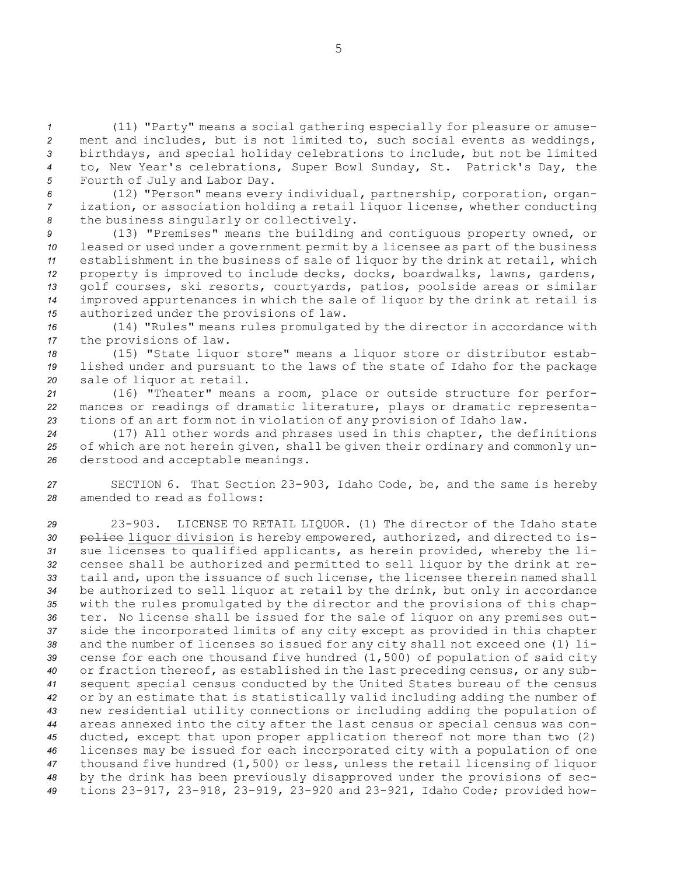(11) "Party" means <sup>a</sup> social gathering especially for pleasure or amuse- ment and includes, but is not limited to, such social events as weddings, birthdays, and special holiday celebrations to include, but not be limited to, New Year's celebrations, Super Bowl Sunday, St. Patrick's Day, the Fourth of July and Labor Day.

*<sup>6</sup>* (12) "Person" means every individual, partnership, corporation, organ-*<sup>7</sup>* ization, or association holding <sup>a</sup> retail liquor license, whether conducting *<sup>8</sup>* the business singularly or collectively.

 (13) "Premises" means the building and contiguous property owned, or leased or used under <sup>a</sup> government permit by <sup>a</sup> licensee as part of the business establishment in the business of sale of liquor by the drink at retail, which property is improved to include decks, docks, boardwalks, lawns, gardens, golf courses, ski resorts, courtyards, patios, poolside areas or similar improved appurtenances in which the sale of liquor by the drink at retail is authorized under the provisions of law.

*<sup>16</sup>* (14) "Rules" means rules promulgated by the director in accordance with *<sup>17</sup>* the provisions of law.

*<sup>18</sup>* (15) "State liquor store" means <sup>a</sup> liquor store or distributor estab-*<sup>19</sup>* lished under and pursuant to the laws of the state of Idaho for the package *<sup>20</sup>* sale of liquor at retail.

*<sup>21</sup>* (16) "Theater" means <sup>a</sup> room, place or outside structure for perfor-*<sup>22</sup>* mances or readings of dramatic literature, plays or dramatic representa-*<sup>23</sup>* tions of an art form not in violation of any provision of Idaho law.

*<sup>24</sup>* (17) All other words and phrases used in this chapter, the definitions *<sup>25</sup>* of which are not herein given, shall be given their ordinary and commonly un-*<sup>26</sup>* derstood and acceptable meanings.

*<sup>27</sup>* SECTION 6. That Section 23-903, Idaho Code, be, and the same is hereby *28* amended to read as follows:

 23-903. LICENSE TO RETAIL LIQUOR. (1) The director of the Idaho state 30 police liquor division is hereby empowered, authorized, and directed to is- sue licenses to qualified applicants, as herein provided, whereby the li- censee shall be authorized and permitted to sell liquor by the drink at re- tail and, upon the issuance of such license, the licensee therein named shall be authorized to sell liquor at retail by the drink, but only in accordance with the rules promulgated by the director and the provisions of this chap- ter. No license shall be issued for the sale of liquor on any premises out- side the incorporated limits of any city except as provided in this chapter and the number of licenses so issued for any city shall not exceed one (1) li- cense for each one thousand five hundred (1,500) of population of said city or fraction thereof, as established in the last preceding census, or any sub- sequent special census conducted by the United States bureau of the census or by an estimate that is statistically valid including adding the number of new residential utility connections or including adding the population of areas annexed into the city after the last census or special census was con- ducted, except that upon proper application thereof not more than two (2) licenses may be issued for each incorporated city with <sup>a</sup> population of one thousand five hundred (1,500) or less, unless the retail licensing of liquor by the drink has been previously disapproved under the provisions of sec-tions 23-917, 23-918, 23-919, 23-920 and 23-921, Idaho Code; provided how-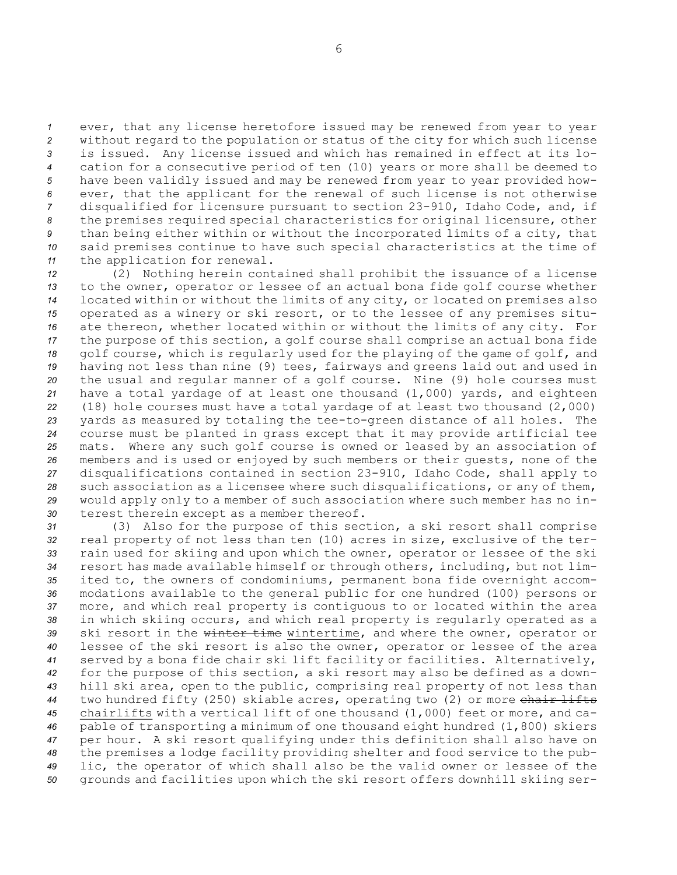ever, that any license heretofore issued may be renewed from year to year without regard to the population or status of the city for which such license is issued. Any license issued and which has remained in effect at its lo- cation for <sup>a</sup> consecutive period of ten (10) years or more shall be deemed to have been validly issued and may be renewed from year to year provided how- ever, that the applicant for the renewal of such license is not otherwise disqualified for licensure pursuant to section 23-910, Idaho Code, and, if the premises required special characteristics for original licensure, other than being either within or without the incorporated limits of <sup>a</sup> city, that said premises continue to have such special characteristics at the time of the application for renewal.

 (2) Nothing herein contained shall prohibit the issuance of <sup>a</sup> license to the owner, operator or lessee of an actual bona fide golf course whether located within or without the limits of any city, or located on premises also operated as <sup>a</sup> winery or ski resort, or to the lessee of any premises situ- ate thereon, whether located within or without the limits of any city. For the purpose of this section, <sup>a</sup> golf course shall comprise an actual bona fide golf course, which is regularly used for the playing of the game of golf, and having not less than nine (9) tees, fairways and greens laid out and used in the usual and regular manner of <sup>a</sup> golf course. Nine (9) hole courses must have <sup>a</sup> total yardage of at least one thousand (1,000) yards, and eighteen (18) hole courses must have <sup>a</sup> total yardage of at least two thousand (2,000) yards as measured by totaling the tee-to-green distance of all holes. The course must be planted in grass except that it may provide artificial tee mats. Where any such golf course is owned or leased by an association of members and is used or enjoyed by such members or their guests, none of the disqualifications contained in section 23-910, Idaho Code, shall apply to such association as <sup>a</sup> licensee where such disqualifications, or any of them, would apply only to <sup>a</sup> member of such association where such member has no in-terest therein except as <sup>a</sup> member thereof.

 (3) Also for the purpose of this section, <sup>a</sup> ski resort shall comprise real property of not less than ten (10) acres in size, exclusive of the ter- rain used for skiing and upon which the owner, operator or lessee of the ski resort has made available himself or through others, including, but not lim- ited to, the owners of condominiums, permanent bona fide overnight accom- modations available to the general public for one hundred (100) persons or more, and which real property is contiguous to or located within the area in which skiing occurs, and which real property is regularly operated as <sup>a</sup> ski resort in the winter time wintertime, and where the owner, operator or lessee of the ski resort is also the owner, operator or lessee of the area served by <sup>a</sup> bona fide chair ski lift facility or facilities. Alternatively, for the purpose of this section, <sup>a</sup> ski resort may also be defined as <sup>a</sup> down- hill ski area, open to the public, comprising real property of not less than two hundred fifty (250) skiable acres, operating two (2) or more chair lifts chairlifts with <sup>a</sup> vertical lift of one thousand (1,000) feet or more, and ca- pable of transporting <sup>a</sup> minimum of one thousand eight hundred (1,800) skiers per hour. <sup>A</sup> ski resort qualifying under this definition shall also have on the premises <sup>a</sup> lodge facility providing shelter and food service to the pub- lic, the operator of which shall also be the valid owner or lessee of the grounds and facilities upon which the ski resort offers downhill skiing ser-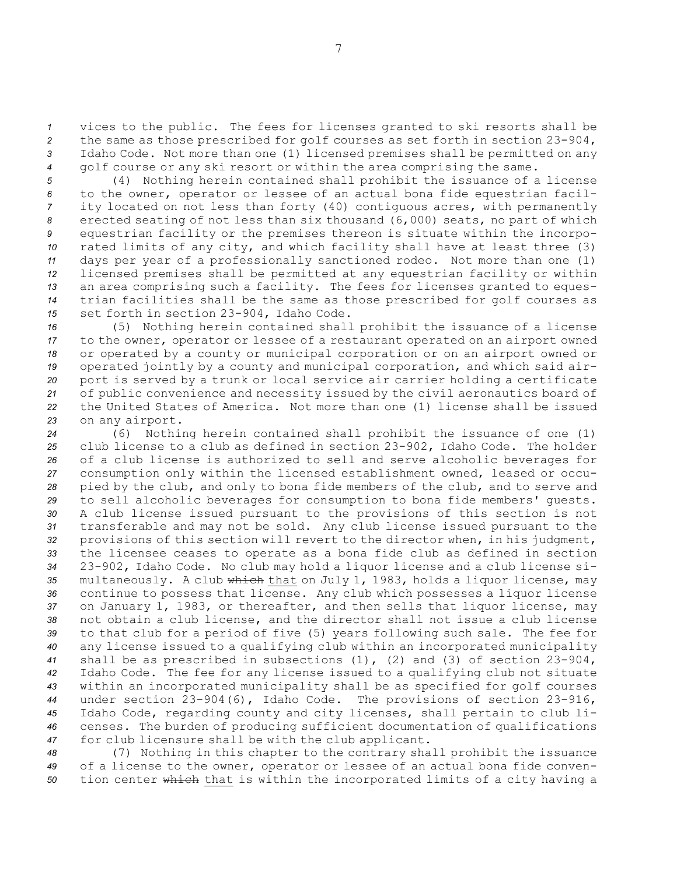vices to the public. The fees for licenses granted to ski resorts shall be the same as those prescribed for golf courses as set forth in section 23-904, Idaho Code. Not more than one (1) licensed premises shall be permitted on any golf course or any ski resort or within the area comprising the same.

 (4) Nothing herein contained shall prohibit the issuance of <sup>a</sup> license to the owner, operator or lessee of an actual bona fide equestrian facil- ity located on not less than forty (40) contiguous acres, with permanently erected seating of not less than six thousand (6,000) seats, no part of which equestrian facility or the premises thereon is situate within the incorpo- rated limits of any city, and which facility shall have at least three (3) days per year of <sup>a</sup> professionally sanctioned rodeo. Not more than one (1) licensed premises shall be permitted at any equestrian facility or within an area comprising such <sup>a</sup> facility. The fees for licenses granted to eques- trian facilities shall be the same as those prescribed for golf courses as set forth in section 23-904, Idaho Code.

 (5) Nothing herein contained shall prohibit the issuance of <sup>a</sup> license to the owner, operator or lessee of <sup>a</sup> restaurant operated on an airport owned or operated by <sup>a</sup> county or municipal corporation or on an airport owned or operated jointly by <sup>a</sup> county and municipal corporation, and which said air- port is served by <sup>a</sup> trunk or local service air carrier holding <sup>a</sup> certificate of public convenience and necessity issued by the civil aeronautics board of the United States of America. Not more than one (1) license shall be issued on any airport.

 (6) Nothing herein contained shall prohibit the issuance of one (1) club license to <sup>a</sup> club as defined in section 23-902, Idaho Code. The holder of <sup>a</sup> club license is authorized to sell and serve alcoholic beverages for consumption only within the licensed establishment owned, leased or occu- pied by the club, and only to bona fide members of the club, and to serve and to sell alcoholic beverages for consumption to bona fide members' guests. <sup>A</sup> club license issued pursuant to the provisions of this section is not transferable and may not be sold. Any club license issued pursuant to the provisions of this section will revert to the director when, in his judgment, the licensee ceases to operate as <sup>a</sup> bona fide club as defined in section 23-902, Idaho Code. No club may hold <sup>a</sup> liquor license and <sup>a</sup> club license si- multaneously. <sup>A</sup> club which that on July 1, 1983, holds <sup>a</sup> liquor license, may continue to possess that license. Any club which possesses <sup>a</sup> liquor license on January 1, 1983, or thereafter, and then sells that liquor license, may not obtain <sup>a</sup> club license, and the director shall not issue <sup>a</sup> club license to that club for <sup>a</sup> period of five (5) years following such sale. The fee for any license issued to <sup>a</sup> qualifying club within an incorporated municipality shall be as prescribed in subsections (1), (2) and (3) of section 23-904, Idaho Code. The fee for any license issued to <sup>a</sup> qualifying club not situate within an incorporated municipality shall be as specified for golf courses under section 23-904(6), Idaho Code. The provisions of section 23-916, Idaho Code, regarding county and city licenses, shall pertain to club li- censes. The burden of producing sufficient documentation of qualifications for club licensure shall be with the club applicant.

*<sup>48</sup>* (7) Nothing in this chapter to the contrary shall prohibit the issuance *<sup>49</sup>* of <sup>a</sup> license to the owner, operator or lessee of an actual bona fide conven-*<sup>50</sup>* tion center which that is within the incorporated limits of <sup>a</sup> city having <sup>a</sup>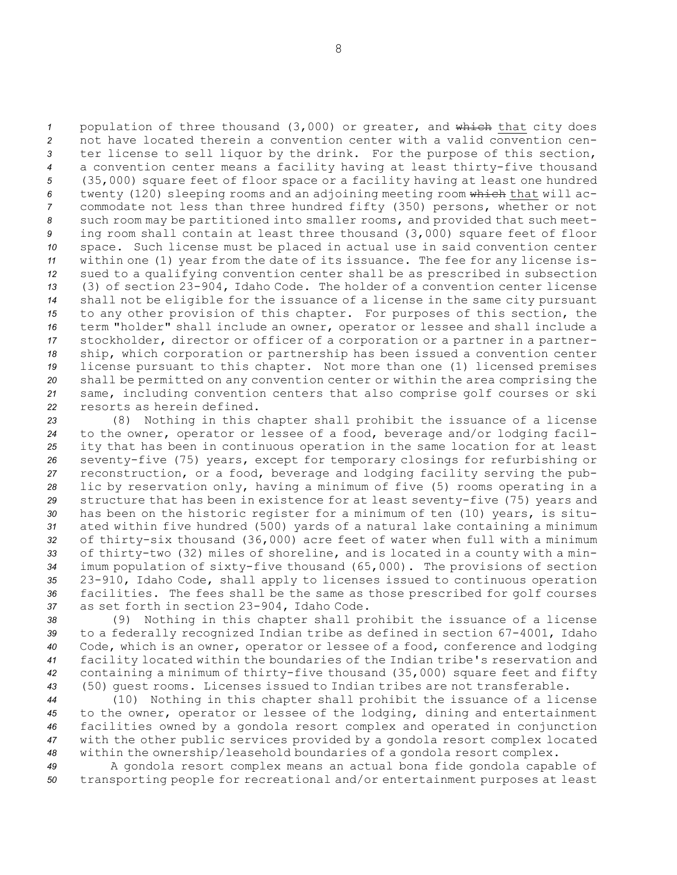1 population of three thousand (3,000) or greater, and which that city does not have located therein <sup>a</sup> convention center with <sup>a</sup> valid convention cen- ter license to sell liquor by the drink. For the purpose of this section, <sup>a</sup> convention center means <sup>a</sup> facility having at least thirty-five thousand (35,000) square feet of floor space or <sup>a</sup> facility having at least one hundred twenty (120) sleeping rooms and an adjoining meeting room which that will ac- commodate not less than three hundred fifty (350) persons, whether or not such room may be partitioned into smaller rooms, and provided that such meet- ing room shall contain at least three thousand (3,000) square feet of floor space. Such license must be placed in actual use in said convention center within one (1) year from the date of its issuance. The fee for any license is- sued to <sup>a</sup> qualifying convention center shall be as prescribed in subsection (3) of section 23-904, Idaho Code. The holder of <sup>a</sup> convention center license shall not be eligible for the issuance of <sup>a</sup> license in the same city pursuant to any other provision of this chapter. For purposes of this section, the term "holder" shall include an owner, operator or lessee and shall include <sup>a</sup> stockholder, director or officer of <sup>a</sup> corporation or <sup>a</sup> partner in <sup>a</sup> partner- ship, which corporation or partnership has been issued <sup>a</sup> convention center license pursuant to this chapter. Not more than one (1) licensed premises shall be permitted on any convention center or within the area comprising the same, including convention centers that also comprise golf courses or ski resorts as herein defined.

 (8) Nothing in this chapter shall prohibit the issuance of <sup>a</sup> license to the owner, operator or lessee of <sup>a</sup> food, beverage and/or lodging facil- ity that has been in continuous operation in the same location for at least seventy-five (75) years, except for temporary closings for refurbishing or reconstruction, or <sup>a</sup> food, beverage and lodging facility serving the pub- lic by reservation only, having <sup>a</sup> minimum of five (5) rooms operating in <sup>a</sup> structure that has been in existence for at least seventy-five (75) years and has been on the historic register for <sup>a</sup> minimum of ten (10) years, is situ- ated within five hundred (500) yards of <sup>a</sup> natural lake containing <sup>a</sup> minimum of thirty-six thousand (36,000) acre feet of water when full with <sup>a</sup> minimum of thirty-two (32) miles of shoreline, and is located in <sup>a</sup> county with <sup>a</sup> min- imum population of sixty-five thousand (65,000). The provisions of section 23-910, Idaho Code, shall apply to licenses issued to continuous operation facilities. The fees shall be the same as those prescribed for golf courses as set forth in section 23-904, Idaho Code.

 (9) Nothing in this chapter shall prohibit the issuance of <sup>a</sup> license to <sup>a</sup> federally recognized Indian tribe as defined in section 67-4001, Idaho Code, which is an owner, operator or lessee of <sup>a</sup> food, conference and lodging facility located within the boundaries of the Indian tribe's reservation and containing <sup>a</sup> minimum of thirty-five thousand (35,000) square feet and fifty (50) guest rooms. Licenses issued to Indian tribes are not transferable.

 (10) Nothing in this chapter shall prohibit the issuance of <sup>a</sup> license to the owner, operator or lessee of the lodging, dining and entertainment facilities owned by <sup>a</sup> gondola resort complex and operated in conjunction with the other public services provided by <sup>a</sup> gondola resort complex located within the ownership/leasehold boundaries of <sup>a</sup> gondola resort complex.

*<sup>49</sup>* <sup>A</sup> gondola resort complex means an actual bona fide gondola capable of *<sup>50</sup>* transporting people for recreational and/or entertainment purposes at least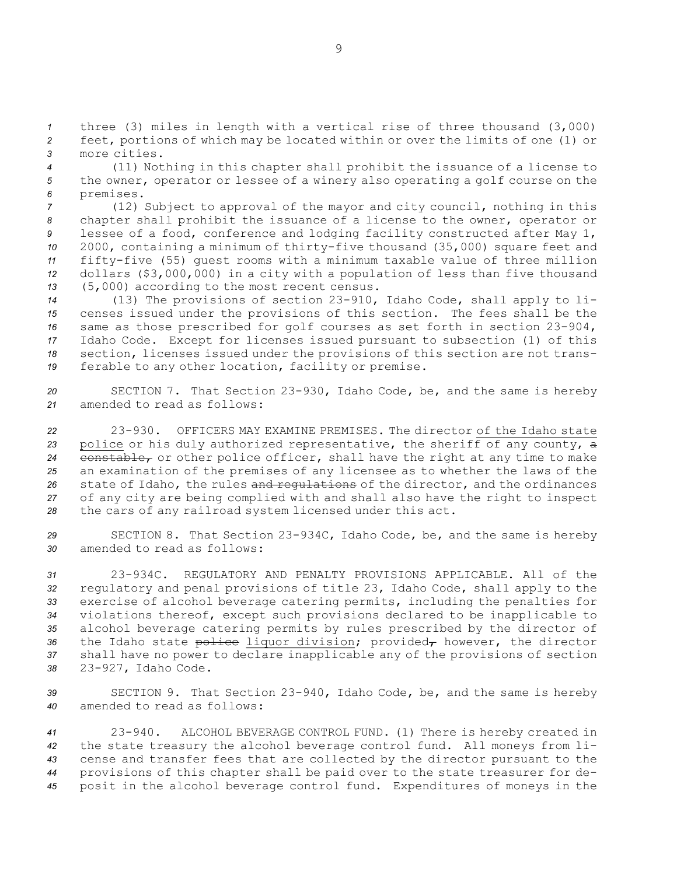*<sup>1</sup>* three (3) miles in length with <sup>a</sup> vertical rise of three thousand (3,000) *<sup>2</sup>* feet, portions of which may be located within or over the limits of one (1) or *3* more cities.

*<sup>4</sup>* (11) Nothing in this chapter shall prohibit the issuance of <sup>a</sup> license to *<sup>5</sup>* the owner, operator or lessee of <sup>a</sup> winery also operating <sup>a</sup> golf course on the *<sup>6</sup>* premises.

 (12) Subject to approval of the mayor and city council, nothing in this chapter shall prohibit the issuance of <sup>a</sup> license to the owner, operator or lessee of <sup>a</sup> food, conference and lodging facility constructed after May 1, 2000, containing <sup>a</sup> minimum of thirty-five thousand (35,000) square feet and fifty-five (55) guest rooms with <sup>a</sup> minimum taxable value of three million dollars (\$3,000,000) in <sup>a</sup> city with <sup>a</sup> population of less than five thousand (5,000) according to the most recent census.

 (13) The provisions of section 23-910, Idaho Code, shall apply to li- censes issued under the provisions of this section. The fees shall be the same as those prescribed for golf courses as set forth in section 23-904, Idaho Code. Except for licenses issued pursuant to subsection (1) of this section, licenses issued under the provisions of this section are not trans-ferable to any other location, facility or premise.

*<sup>20</sup>* SECTION 7. That Section 23-930, Idaho Code, be, and the same is hereby *21* amended to read as follows:

 23-930. OFFICERS MAY EXAMINE PREMISES. The director of the Idaho state police or his duly authorized representative, the sheriff of any county, <sup>a</sup> 24 constable, or other police officer, shall have the right at any time to make an examination of the premises of any licensee as to whether the laws of the state of Idaho, the rules and regulations of the director, and the ordinances of any city are being complied with and shall also have the right to inspect the cars of any railroad system licensed under this act.

*<sup>29</sup>* SECTION 8. That Section 23-934C, Idaho Code, be, and the same is hereby *30* amended to read as follows:

 23-934C. REGULATORY AND PENALTY PROVISIONS APPLICABLE. All of the regulatory and penal provisions of title 23, Idaho Code, shall apply to the exercise of alcohol beverage catering permits, including the penalties for violations thereof, except such provisions declared to be inapplicable to alcohol beverage catering permits by rules prescribed by the director of 36 the Idaho state police liquor division; provided<sub>r</sub> however, the director shall have no power to declare inapplicable any of the provisions of section 23-927, Idaho Code.

*<sup>39</sup>* SECTION 9. That Section 23-940, Idaho Code, be, and the same is hereby *40* amended to read as follows:

 23-940. ALCOHOL BEVERAGE CONTROL FUND. (1) There is hereby created in the state treasury the alcohol beverage control fund. All moneys from li- cense and transfer fees that are collected by the director pursuant to the provisions of this chapter shall be paid over to the state treasurer for de-posit in the alcohol beverage control fund. Expenditures of moneys in the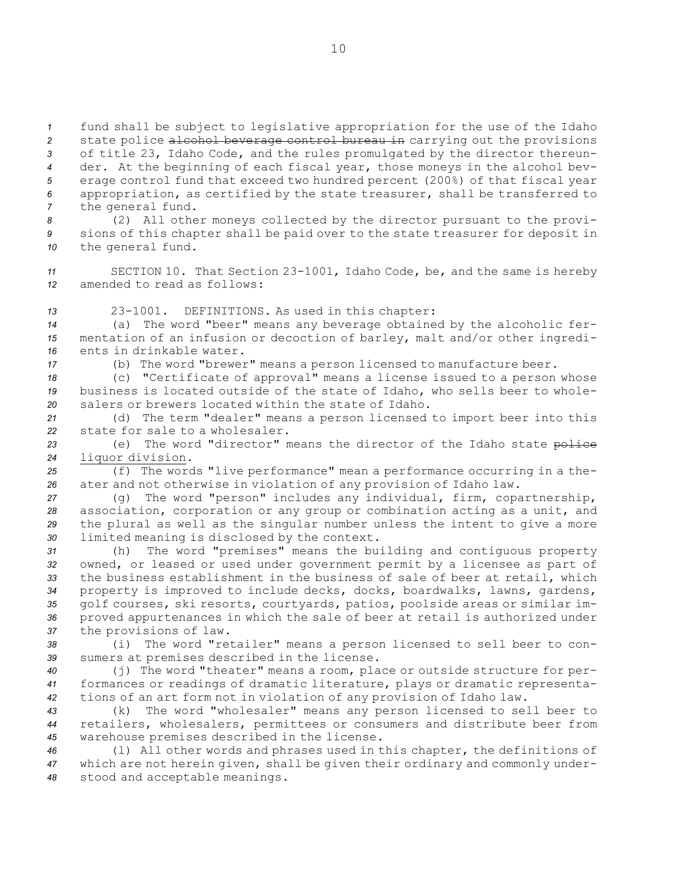fund shall be subject to legislative appropriation for the use of the Idaho state police alcohol beverage control bureau in carrying out the provisions of title 23, Idaho Code, and the rules promulgated by the director thereun- der. At the beginning of each fiscal year, those moneys in the alcohol bev- erage control fund that exceed two hundred percent (200%) of that fiscal year appropriation, as certified by the state treasurer, shall be transferred to the general fund.

*<sup>8</sup>* (2) All other moneys collected by the director pursuant to the provi-*<sup>9</sup>* sions of this chapter shall be paid over to the state treasurer for deposit in *<sup>10</sup>* the general fund.

*<sup>11</sup>* SECTION 10. That Section 23-1001, Idaho Code, be, and the same is hereby *12* amended to read as follows:

*<sup>13</sup>* 23-1001. DEFINITIONS. As used in this chapter:

*<sup>14</sup>* (a) The word "beer" means any beverage obtained by the alcoholic fer-*<sup>15</sup>* mentation of an infusion or decoction of barley, malt and/or other ingredi-*16* ents in drinkable water.

*<sup>17</sup>* (b) The word "brewer" means <sup>a</sup> person licensed to manufacture beer.

*<sup>18</sup>* (c) "Certificate of approval" means <sup>a</sup> license issued to <sup>a</sup> person whose *<sup>19</sup>* business is located outside of the state of Idaho, who sells beer to whole-*20* salers or brewers located within the state of Idaho.

*<sup>21</sup>* (d) The term "dealer" means <sup>a</sup> person licensed to import beer into this *22* state for sale to a wholesaler.

23 (e) The word "director" means the director of the Idaho state police *<sup>24</sup>* liquor division.

*<sup>25</sup>* (f) The words "live performance" mean <sup>a</sup> performance occurring in <sup>a</sup> the-*<sup>26</sup>* ater and not otherwise in violation of any provision of Idaho law.

 (g) The word "person" includes any individual, firm, copartnership, association, corporation or any group or combination acting as <sup>a</sup> unit, and the plural as well as the singular number unless the intent to give <sup>a</sup> more limited meaning is disclosed by the context.

 (h) The word "premises" means the building and contiguous property owned, or leased or used under government permit by <sup>a</sup> licensee as part of the business establishment in the business of sale of beer at retail, which property is improved to include decks, docks, boardwalks, lawns, gardens, golf courses, ski resorts, courtyards, patios, poolside areas or similar im- proved appurtenances in which the sale of beer at retail is authorized under the provisions of law.

*<sup>38</sup>* (i) The word "retailer" means <sup>a</sup> person licensed to sell beer to con-*<sup>39</sup>* sumers at premises described in the license.

*<sup>40</sup>* (j) The word "theater" means <sup>a</sup> room, place or outside structure for per-*<sup>41</sup>* formances or readings of dramatic literature, plays or dramatic representa-*<sup>42</sup>* tions of an art form not in violation of any provision of Idaho law.

*<sup>43</sup>* (k) The word "wholesaler" means any person licensed to sell beer to *<sup>44</sup>* retailers, wholesalers, permittees or consumers and distribute beer from *<sup>45</sup>* warehouse premises described in the license.

*<sup>46</sup>* (l) All other words and phrases used in this chapter, the definitions of *<sup>47</sup>* which are not herein given, shall be given their ordinary and commonly under-*<sup>48</sup>* stood and acceptable meanings.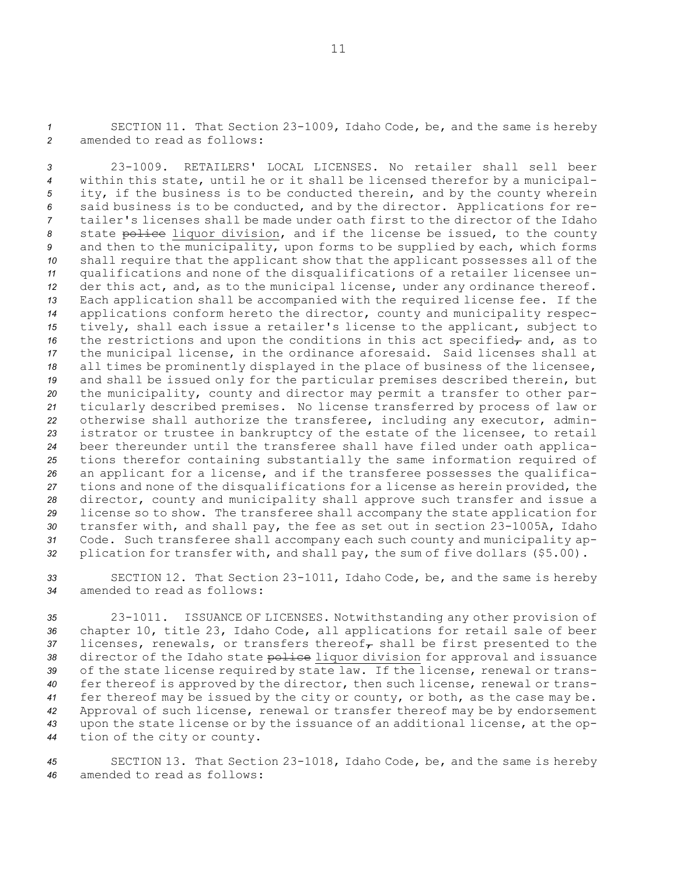*<sup>1</sup>* SECTION 11. That Section 23-1009, Idaho Code, be, and the same is hereby *2* amended to read as follows:

 23-1009. RETAILERS' LOCAL LICENSES. No retailer shall sell beer within this state, until he or it shall be licensed therefor by <sup>a</sup> municipal- ity, if the business is to be conducted therein, and by the county wherein said business is to be conducted, and by the director. Applications for re- tailer's licenses shall be made under oath first to the director of the Idaho state police liquor division, and if the license be issued, to the county and then to the municipality, upon forms to be supplied by each, which forms shall require that the applicant show that the applicant possesses all of the qualifications and none of the disqualifications of <sup>a</sup> retailer licensee un- der this act, and, as to the municipal license, under any ordinance thereof. Each application shall be accompanied with the required license fee. If the applications conform hereto the director, county and municipality respec- tively, shall each issue <sup>a</sup> retailer's license to the applicant, subject to the restrictions and upon the conditions in this act specified<sub>7</sub> and, as to the municipal license, in the ordinance aforesaid. Said licenses shall at all times be prominently displayed in the place of business of the licensee, and shall be issued only for the particular premises described therein, but the municipality, county and director may permit <sup>a</sup> transfer to other par- ticularly described premises. No license transferred by process of law or otherwise shall authorize the transferee, including any executor, admin- istrator or trustee in bankruptcy of the estate of the licensee, to retail beer thereunder until the transferee shall have filed under oath applica- tions therefor containing substantially the same information required of an applicant for <sup>a</sup> license, and if the transferee possesses the qualifica- tions and none of the disqualifications for <sup>a</sup> license as herein provided, the director, county and municipality shall approve such transfer and issue <sup>a</sup> license so to show. The transferee shall accompany the state application for transfer with, and shall pay, the fee as set out in section 23-1005A, Idaho Code. Such transferee shall accompany each such county and municipality ap-plication for transfer with, and shall pay, the sum of five dollars (\$5.00).

*<sup>33</sup>* SECTION 12. That Section 23-1011, Idaho Code, be, and the same is hereby *34* amended to read as follows:

 23-1011. ISSUANCE OF LICENSES. Notwithstanding any other provision of chapter 10, title 23, Idaho Code, all applications for retail sale of beer 37 licenses, renewals, or transfers thereof<sub> $\tau$ </sub> shall be first presented to the director of the Idaho state police liquor division for approval and issuance of the state license required by state law. If the license, renewal or trans- fer thereof is approved by the director, then such license, renewal or trans- fer thereof may be issued by the city or county, or both, as the case may be. Approval of such license, renewal or transfer thereof may be by endorsement upon the state license or by the issuance of an additional license, at the op-tion of the city or county.

*<sup>45</sup>* SECTION 13. That Section 23-1018, Idaho Code, be, and the same is hereby *46* amended to read as follows: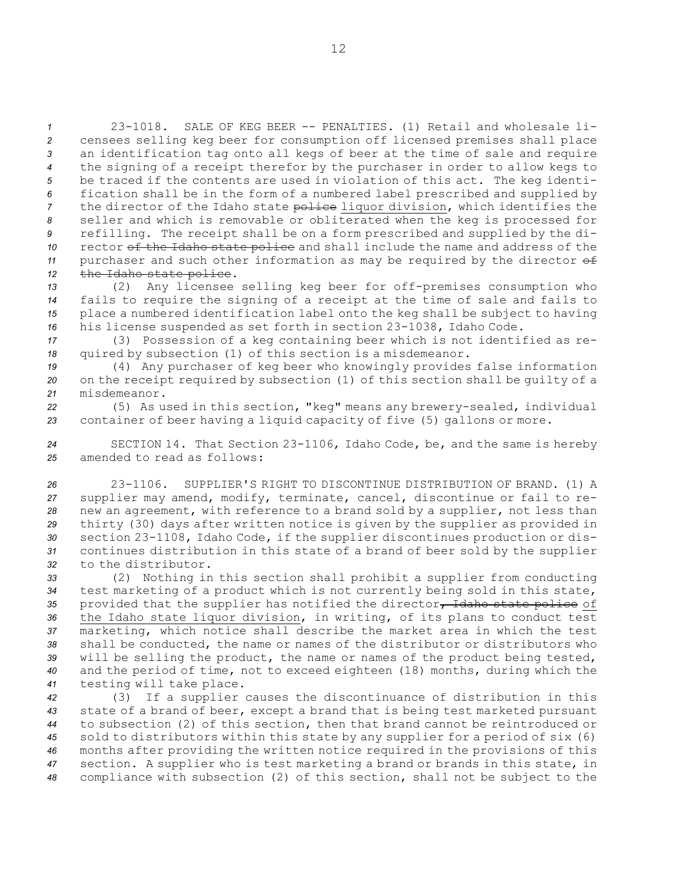23-1018. SALE OF KEG BEER -- PENALTIES. (1) Retail and wholesale li- censees selling keg beer for consumption off licensed premises shall place an identification tag onto all kegs of beer at the time of sale and require the signing of <sup>a</sup> receipt therefor by the purchaser in order to allow kegs to be traced if the contents are used in violation of this act. The keg identi- fication shall be in the form of <sup>a</sup> numbered label prescribed and supplied by 7 the director of the Idaho state police liquor division, which identifies the seller and which is removable or obliterated when the keg is processed for refilling. The receipt shall be on <sup>a</sup> form prescribed and supplied by the di- rector of the Idaho state police and shall include the name and address of the 11 purchaser and such other information as may be required by the director  $\theta$ 12 the Idaho state police.

 (2) Any licensee selling keg beer for off-premises consumption who fails to require the signing of <sup>a</sup> receipt at the time of sale and fails to place <sup>a</sup> numbered identification label onto the keg shall be subject to having his license suspended as set forth in section 23-1038, Idaho Code.

*<sup>17</sup>* (3) Possession of <sup>a</sup> keg containing beer which is not identified as re-*<sup>18</sup>* quired by subsection (1) of this section is <sup>a</sup> misdemeanor.

*<sup>19</sup>* (4) Any purchaser of keg beer who knowingly provides false information *<sup>20</sup>* on the receipt required by subsection (1) of this section shall be guilty of <sup>a</sup> *21* misdemeanor.

*<sup>22</sup>* (5) As used in this section, "keg" means any brewery-sealed, individual *<sup>23</sup>* container of beer having <sup>a</sup> liquid capacity of five (5) gallons or more.

*<sup>24</sup>* SECTION 14. That Section 23-1106, Idaho Code, be, and the same is hereby *25* amended to read as follows:

 23-1106. SUPPLIER'S RIGHT TO DISCONTINUE DISTRIBUTION OF BRAND. (1) A supplier may amend, modify, terminate, cancel, discontinue or fail to re- new an agreement, with reference to <sup>a</sup> brand sold by <sup>a</sup> supplier, not less than thirty (30) days after written notice is given by the supplier as provided in section 23-1108, Idaho Code, if the supplier discontinues production or dis- continues distribution in this state of <sup>a</sup> brand of beer sold by the supplier to the distributor.

 (2) Nothing in this section shall prohibit <sup>a</sup> supplier from conducting test marketing of <sup>a</sup> product which is not currently being sold in this state, provided that the supplier has notified the director, Idaho state police of the Idaho state liquor division, in writing, of its plans to conduct test marketing, which notice shall describe the market area in which the test shall be conducted, the name or names of the distributor or distributors who will be selling the product, the name or names of the product being tested, and the period of time, not to exceed eighteen (18) months, during which the testing will take place.

 (3) If <sup>a</sup> supplier causes the discontinuance of distribution in this state of <sup>a</sup> brand of beer, except <sup>a</sup> brand that is being test marketed pursuant to subsection (2) of this section, then that brand cannot be reintroduced or sold to distributors within this state by any supplier for <sup>a</sup> period of six (6) months after providing the written notice required in the provisions of this section. <sup>A</sup> supplier who is test marketing <sup>a</sup> brand or brands in this state, in compliance with subsection (2) of this section, shall not be subject to the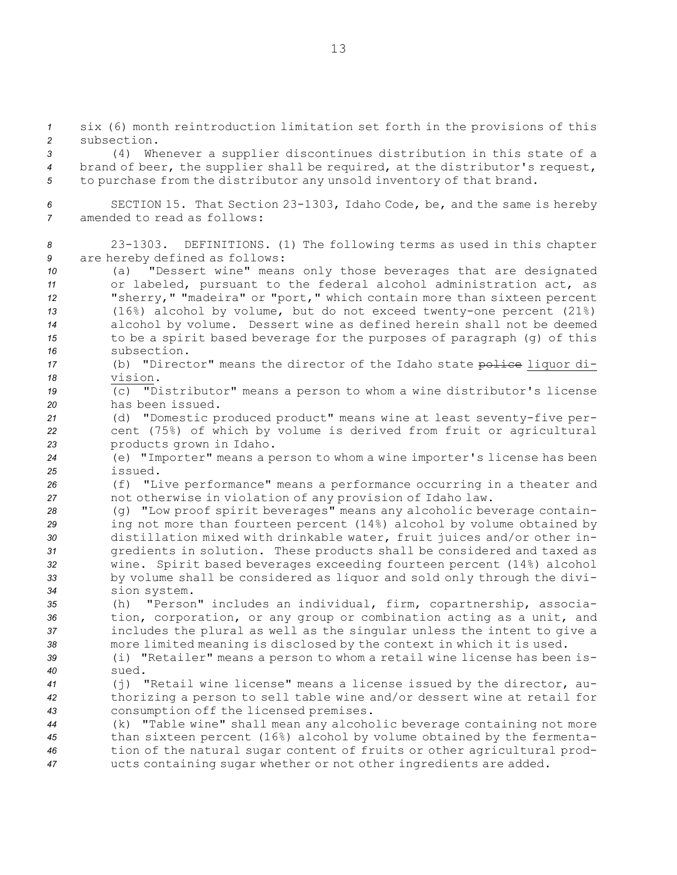*<sup>1</sup>* six (6) month reintroduction limitation set forth in the provisions of this *2* subsection.

*<sup>3</sup>* (4) Whenever <sup>a</sup> supplier discontinues distribution in this state of <sup>a</sup> *<sup>4</sup>* brand of beer, the supplier shall be required, at the distributor's request, *<sup>5</sup>* to purchase from the distributor any unsold inventory of that brand.

*<sup>6</sup>* SECTION 15. That Section 23-1303, Idaho Code, be, and the same is hereby *7* amended to read as follows:

*<sup>8</sup>* 23-1303. DEFINITIONS. (1) The following terms as used in this chapter *<sup>9</sup>* are hereby defined as follows:

 (a) "Dessert wine" means only those beverages that are designated or labeled, pursuant to the federal alcohol administration act, as "sherry," "madeira" or "port," which contain more than sixteen percent (16%) alcohol by volume, but do not exceed twenty-one percent (21%) alcohol by volume. Dessert wine as defined herein shall not be deemed to be <sup>a</sup> spirit based beverage for the purposes of paragraph (g) of this subsection.

17 (b) "Director" means the director of the Idaho state police liquor di-*18* vision.

*<sup>19</sup>* (c) "Distributor" means <sup>a</sup> person to whom <sup>a</sup> wine distributor's license *20* has been issued.

*<sup>21</sup>* (d) "Domestic produced product" means wine at least seventy-five per-*<sup>22</sup>* cent (75%) of which by volume is derived from fruit or agricultural *<sup>23</sup>* products grown in Idaho.

*<sup>24</sup>* (e) "Importer" means <sup>a</sup> person to whom <sup>a</sup> wine importer's license has been *25* issued.

*<sup>26</sup>* (f) "Live performance" means <sup>a</sup> performance occurring in <sup>a</sup> theater and *<sup>27</sup>* not otherwise in violation of any provision of Idaho law.

- *<sup>28</sup>* (g) "Low proof spirit beverages" means any alcoholic beverage contain-*<sup>29</sup>* ing not more than fourteen percent (14%) alcohol by volume obtained by *<sup>30</sup>* distillation mixed with drinkable water, fruit juices and/or other in-*<sup>31</sup>* gredients in solution. These products shall be considered and taxed as *<sup>32</sup>* wine. Spirit based beverages exceeding fourteen percent (14%) alcohol *<sup>33</sup>* by volume shall be considered as liquor and sold only through the divi-*<sup>34</sup>* sion system.
- *<sup>35</sup>* (h) "Person" includes an individual, firm, copartnership, associa-*<sup>36</sup>* tion, corporation, or any group or combination acting as <sup>a</sup> unit, and *<sup>37</sup>* includes the plural as well as the singular unless the intent to give <sup>a</sup> *<sup>38</sup>* more limited meaning is disclosed by the context in which it is used.

*<sup>39</sup>* (i) "Retailer" means <sup>a</sup> person to whom <sup>a</sup> retail wine license has been is-*40* sued.

*<sup>41</sup>* (j) "Retail wine license" means <sup>a</sup> license issued by the director, au-*<sup>42</sup>* thorizing <sup>a</sup> person to sell table wine and/or dessert wine at retail for *<sup>43</sup>* consumption off the licensed premises.

 (k) "Table wine" shall mean any alcoholic beverage containing not more than sixteen percent (16%) alcohol by volume obtained by the fermenta- tion of the natural sugar content of fruits or other agricultural prod-ucts containing sugar whether or not other ingredients are added.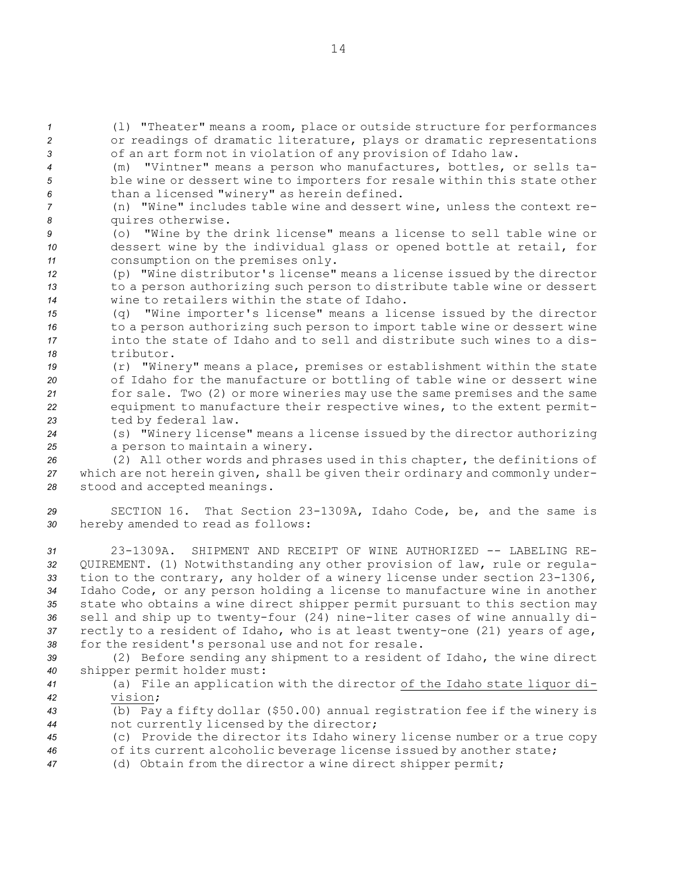*<sup>1</sup>* (l) "Theater" means <sup>a</sup> room, place or outside structure for performances *<sup>2</sup>* or readings of dramatic literature, plays or dramatic representations *<sup>3</sup>* of an art form not in violation of any provision of Idaho law.

*<sup>4</sup>* (m) "Vintner" means <sup>a</sup> person who manufactures, bottles, or sells ta-*<sup>5</sup>* ble wine or dessert wine to importers for resale within this state other *<sup>6</sup>* than <sup>a</sup> licensed "winery" as herein defined.

*<sup>7</sup>* (n) "Wine" includes table wine and dessert wine, unless the context re-*<sup>8</sup>* quires otherwise.

*<sup>9</sup>* (o) "Wine by the drink license" means <sup>a</sup> license to sell table wine or *<sup>10</sup>* dessert wine by the individual glass or opened bottle at retail, for *<sup>11</sup>* consumption on the premises only.

*<sup>12</sup>* (p) "Wine distributor's license" means <sup>a</sup> license issued by the director *<sup>13</sup>* to <sup>a</sup> person authorizing such person to distribute table wine or dessert *14* wine to retailers within the state of Idaho.

 (q) "Wine importer's license" means <sup>a</sup> license issued by the director to <sup>a</sup> person authorizing such person to import table wine or dessert wine into the state of Idaho and to sell and distribute such wines to <sup>a</sup> dis-tributor.

 (r) "Winery" means <sup>a</sup> place, premises or establishment within the state of Idaho for the manufacture or bottling of table wine or dessert wine for sale. Two (2) or more wineries may use the same premises and the same equipment to manufacture their respective wines, to the extent permit-ted by federal law.

*<sup>24</sup>* (s) "Winery license" means <sup>a</sup> license issued by the director authorizing *<sup>25</sup>* <sup>a</sup> person to maintain <sup>a</sup> winery.

*<sup>26</sup>* (2) All other words and phrases used in this chapter, the definitions of *<sup>27</sup>* which are not herein given, shall be given their ordinary and commonly under-*<sup>28</sup>* stood and accepted meanings.

*<sup>29</sup>* SECTION 16. That Section 23-1309A, Idaho Code, be, and the same is *<sup>30</sup>* hereby amended to read as follows:

 23-1309A. SHIPMENT AND RECEIPT OF WINE AUTHORIZED -- LABELING RE- QUIREMENT. (1) Notwithstanding any other provision of law, rule or regula- tion to the contrary, any holder of <sup>a</sup> winery license under section 23-1306, Idaho Code, or any person holding <sup>a</sup> license to manufacture wine in another state who obtains <sup>a</sup> wine direct shipper permit pursuant to this section may sell and ship up to twenty-four (24) nine-liter cases of wine annually di- rectly to <sup>a</sup> resident of Idaho, who is at least twenty-one (21) years of age, for the resident's personal use and not for resale.

*<sup>39</sup>* (2) Before sending any shipment to <sup>a</sup> resident of Idaho, the wine direct *<sup>40</sup>* shipper permit holder must:

*<sup>41</sup>* (a) File an application with the director of the Idaho state liquor di-*42* vision;

*<sup>43</sup>* (b) Pay <sup>a</sup> fifty dollar (\$50.00) annual registration fee if the winery is *<sup>44</sup>* not currently licensed by the director;

*<sup>45</sup>* (c) Provide the director its Idaho winery license number or <sup>a</sup> true copy

*<sup>46</sup>* of its current alcoholic beverage license issued by another state;

*<sup>47</sup>* (d) Obtain from the director <sup>a</sup> wine direct shipper permit;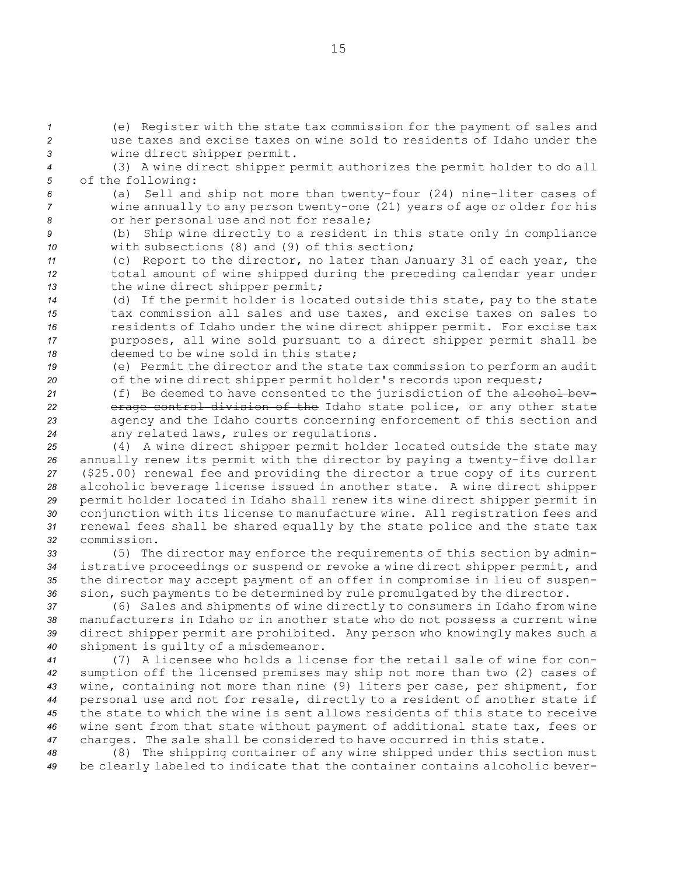*<sup>1</sup>* (e) Register with the state tax commission for the payment of sales and *2* use taxes and excise taxes on wine sold to residents of Idaho under the *<sup>3</sup>* wine direct shipper permit.

*<sup>4</sup>* (3) <sup>A</sup> wine direct shipper permit authorizes the permit holder to do all *<sup>5</sup>* of the following:

*<sup>6</sup>* (a) Sell and ship not more than twenty-four (24) nine-liter cases of *<sup>7</sup>* wine annually to any person twenty-one (21) years of age or older for his *<sup>8</sup>* or her personal use and not for resale;

*<sup>9</sup>* (b) Ship wine directly to <sup>a</sup> resident in this state only in compliance *10* with subsections (8) and (9) of this section;

*<sup>11</sup>* (c) Report to the director, no later than January 31 of each year, the *<sup>12</sup>* total amount of wine shipped during the preceding calendar year under *<sup>13</sup>* the wine direct shipper permit;

 (d) If the permit holder is located outside this state, pay to the state tax commission all sales and use taxes, and excise taxes on sales to residents of Idaho under the wine direct shipper permit. For excise tax purposes, all wine sold pursuant to <sup>a</sup> direct shipper permit shall be deemed to be wine sold in this state;

*<sup>19</sup>* (e) Permit the director and the state tax commission to perform an audit 20 of the wine direct shipper permit holder's records upon request;

21 (f) Be deemed to have consented to the jurisdiction of the alcohol bev- erage control division of the Idaho state police, or any other state agency and the Idaho courts concerning enforcement of this section and any related laws, rules or regulations.

 (4) <sup>A</sup> wine direct shipper permit holder located outside the state may annually renew its permit with the director by paying <sup>a</sup> twenty-five dollar (\$25.00) renewal fee and providing the director <sup>a</sup> true copy of its current alcoholic beverage license issued in another state. <sup>A</sup> wine direct shipper permit holder located in Idaho shall renew its wine direct shipper permit in conjunction with its license to manufacture wine. All registration fees and renewal fees shall be shared equally by the state police and the state tax commission.

 (5) The director may enforce the requirements of this section by admin- istrative proceedings or suspend or revoke <sup>a</sup> wine direct shipper permit, and the director may accept payment of an offer in compromise in lieu of suspen-sion, such payments to be determined by rule promulgated by the director.

 (6) Sales and shipments of wine directly to consumers in Idaho from wine manufacturers in Idaho or in another state who do not possess <sup>a</sup> current wine direct shipper permit are prohibited. Any person who knowingly makes such <sup>a</sup> shipment is guilty of <sup>a</sup> misdemeanor.

 (7) A licensee who holds <sup>a</sup> license for the retail sale of wine for con- sumption off the licensed premises may ship not more than two (2) cases of wine, containing not more than nine (9) liters per case, per shipment, for personal use and not for resale, directly to <sup>a</sup> resident of another state if the state to which the wine is sent allows residents of this state to receive wine sent from that state without payment of additional state tax, fees or charges. The sale shall be considered to have occurred in this state.

*<sup>48</sup>* (8) The shipping container of any wine shipped under this section must *<sup>49</sup>* be clearly labeled to indicate that the container contains alcoholic bever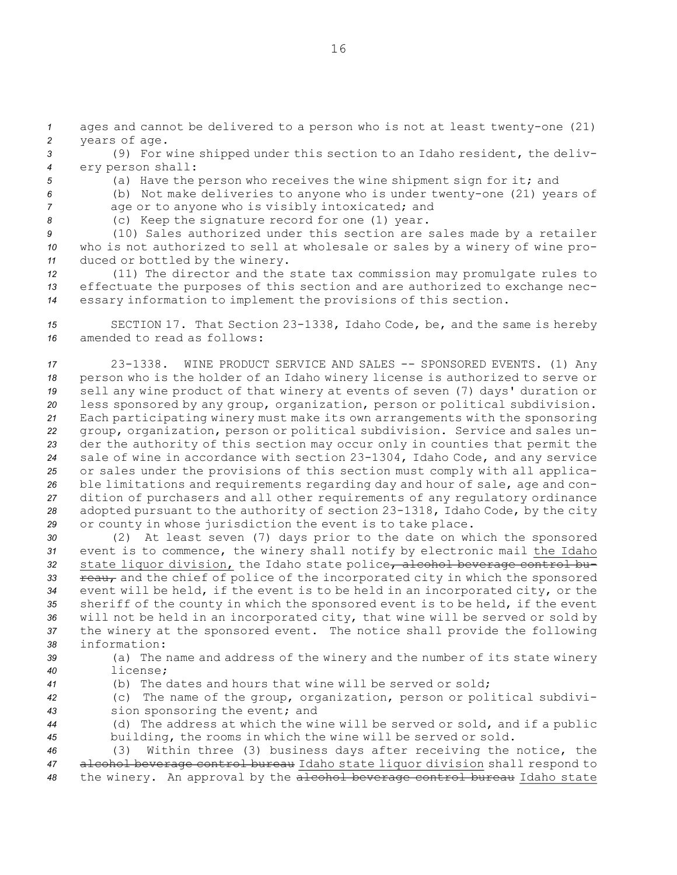*<sup>1</sup>* ages and cannot be delivered to <sup>a</sup> person who is not at least twenty-one (21) *<sup>2</sup>* years of age.

*<sup>3</sup>* (9) For wine shipped under this section to an Idaho resident, the deliv-*<sup>4</sup>* ery person shall:

- 
- *<sup>5</sup>* (a) Have the person who receives the wine shipment sign for it; and *<sup>6</sup>* (b) Not make deliveries to anyone who is under twenty-one (21) years of
- 
- *<sup>7</sup>* age or to anyone who is visibly intoxicated; and

*<sup>8</sup>* (c) Keep the signature record for one (1) year.

*<sup>9</sup>* (10) Sales authorized under this section are sales made by <sup>a</sup> retailer *<sup>10</sup>* who is not authorized to sell at wholesale or sales by <sup>a</sup> winery of wine pro-*<sup>11</sup>* duced or bottled by the winery.

*<sup>12</sup>* (11) The director and the state tax commission may promulgate rules to *<sup>13</sup>* effectuate the purposes of this section and are authorized to exchange nec-*<sup>14</sup>* essary information to implement the provisions of this section.

*<sup>15</sup>* SECTION 17. That Section 23-1338, Idaho Code, be, and the same is hereby *16* amended to read as follows:

 23-1338. WINE PRODUCT SERVICE AND SALES -- SPONSORED EVENTS. (1) Any person who is the holder of an Idaho winery license is authorized to serve or sell any wine product of that winery at events of seven (7) days' duration or less sponsored by any group, organization, person or political subdivision. Each participating winery must make its own arrangements with the sponsoring group, organization, person or political subdivision. Service and sales un- der the authority of this section may occur only in counties that permit the sale of wine in accordance with section 23-1304, Idaho Code, and any service or sales under the provisions of this section must comply with all applica- ble limitations and requirements regarding day and hour of sale, age and con- dition of purchasers and all other requirements of any regulatory ordinance adopted pursuant to the authority of section 23-1318, Idaho Code, by the city or county in whose jurisdiction the event is to take place.

 (2) At least seven (7) days prior to the date on which the sponsored event is to commence, the winery shall notify by electronic mail the Idaho 32 state liquor division, the Idaho state police, alcohol beverage control bu-**reau,** and the chief of police of the incorporated city in which the sponsored event will be held, if the event is to be held in an incorporated city, or the sheriff of the county in which the sponsored event is to be held, if the event will not be held in an incorporated city, that wine will be served or sold by the winery at the sponsored event. The notice shall provide the following information:

- 
- *<sup>39</sup>* (a) The name and address of the winery and the number of its state winery *40* license;
- *<sup>41</sup>* (b) The dates and hours that wine will be served or sold;

*<sup>42</sup>* (c) The name of the group, organization, person or political subdivi-*<sup>43</sup>* sion sponsoring the event; and

*<sup>44</sup>* (d) The address at which the wine will be served or sold, and if <sup>a</sup> public *<sup>45</sup>* building, the rooms in which the wine will be served or sold.

*<sup>46</sup>* (3) Within three (3) business days after receiving the notice, the *<sup>47</sup>* alcohol beverage control bureau Idaho state liquor division shall respond to *<sup>48</sup>* the winery. An approval by the alcohol beverage control bureau Idaho state